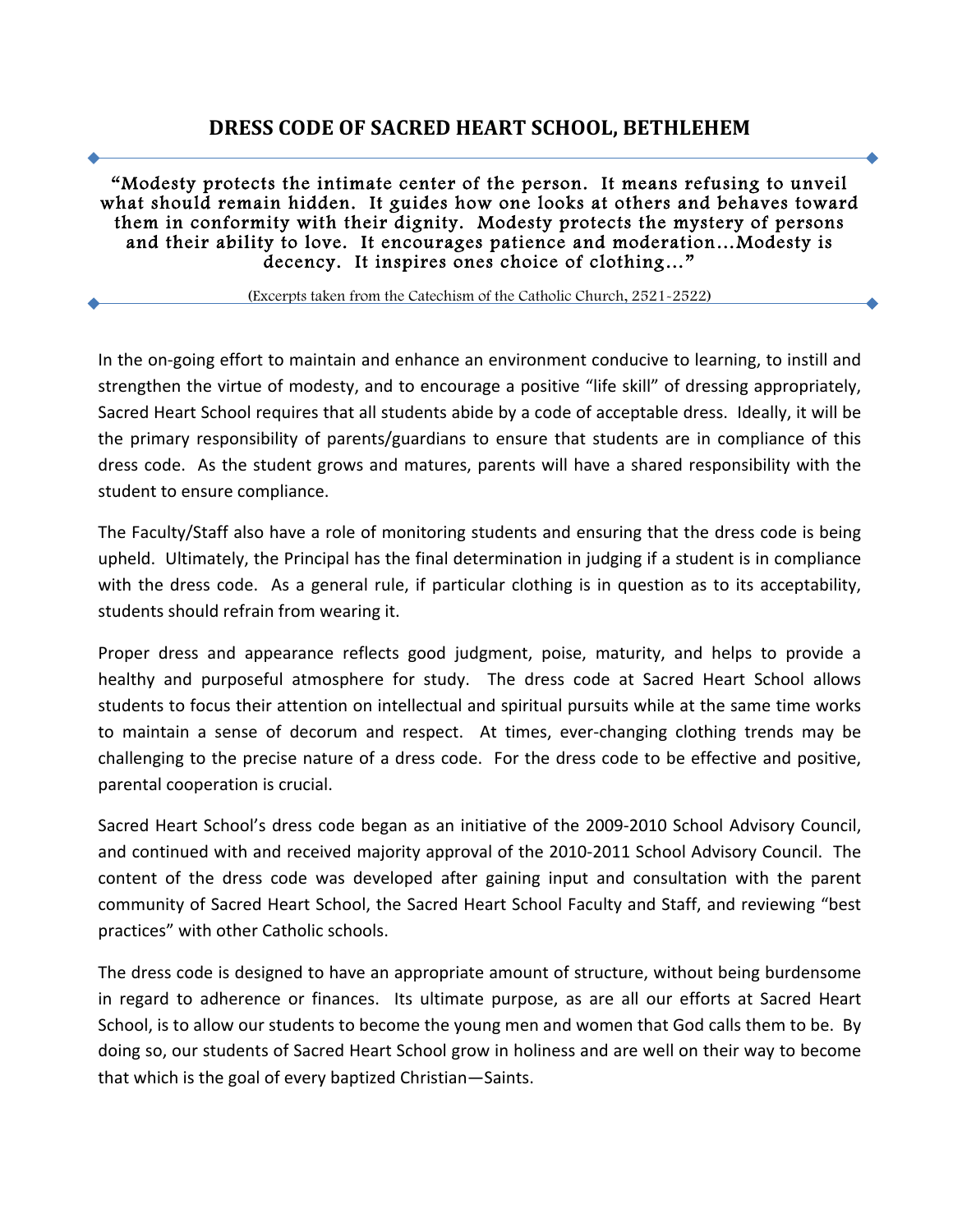# **DRESS CODE OF SACRED HEART SCHOOL, BETHLEHEM**

"Modesty protects the intimate center of the person. It means refusing to unveil what should remain hidden. It guides how one looks at others and behaves toward them in conformity with their dignity. Modesty protects the mystery of persons and their ability to love. It encourages patience and moderation…Modesty is decency. It inspires ones choice of clothing…"

(Excerpts taken from the Catechism of the Catholic Church, 2521-2522)

In the on-going effort to maintain and enhance an environment conducive to learning, to instill and strengthen the virtue of modesty, and to encourage a positive "life skill" of dressing appropriately, Sacred Heart School requires that all students abide by a code of acceptable dress. Ideally, it will be the primary responsibility of parents/guardians to ensure that students are in compliance of this dress code. As the student grows and matures, parents will have a shared responsibility with the student to ensure compliance.

The Faculty/Staff also have a role of monitoring students and ensuring that the dress code is being upheld. Ultimately, the Principal has the final determination in judging if a student is in compliance with the dress code. As a general rule, if particular clothing is in question as to its acceptability, students should refrain from wearing it.

Proper dress and appearance reflects good judgment, poise, maturity, and helps to provide a healthy and purposeful atmosphere for study. The dress code at Sacred Heart School allows students to focus their attention on intellectual and spiritual pursuits while at the same time works to maintain a sense of decorum and respect. At times, ever-changing clothing trends may be challenging to the precise nature of a dress code. For the dress code to be effective and positive, parental cooperation is crucial.

Sacred Heart School's dress code began as an initiative of the 2009-2010 School Advisory Council, and continued with and received majority approval of the 2010-2011 School Advisory Council. The content of the dress code was developed after gaining input and consultation with the parent community of Sacred Heart School, the Sacred Heart School Faculty and Staff, and reviewing "best practices" with other Catholic schools.

The dress code is designed to have an appropriate amount of structure, without being burdensome in regard to adherence or finances. Its ultimate purpose, as are all our efforts at Sacred Heart School, is to allow our students to become the young men and women that God calls them to be. By doing so, our students of Sacred Heart School grow in holiness and are well on their way to become that which is the goal of every baptized Christian-Saints.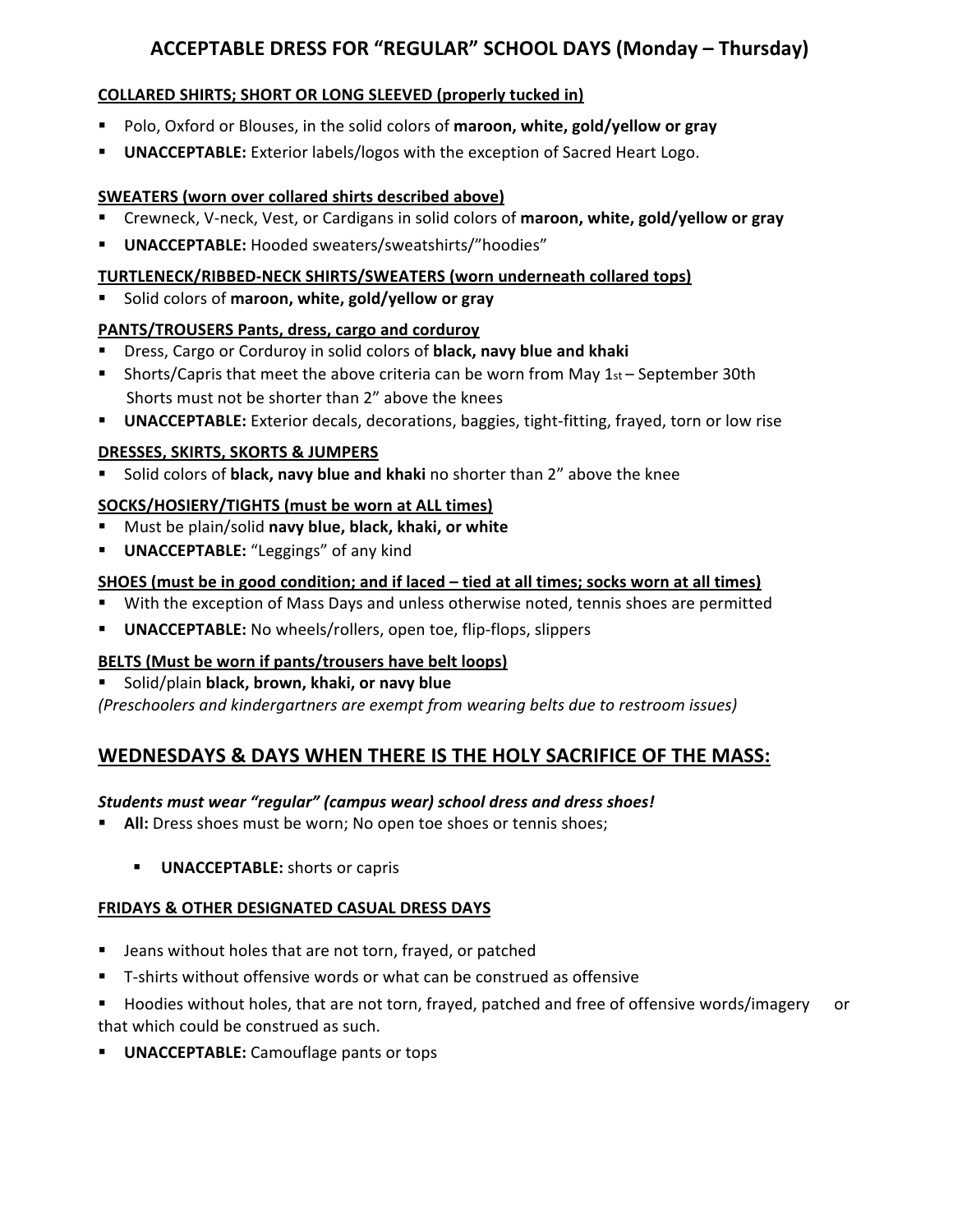# ACCEPTABLE DRESS FOR "REGULAR" SCHOOL DAYS (Monday – Thursday)

## **COLLARED SHIRTS; SHORT OR LONG SLEEVED (properly tucked in)**

- **.** Polo, Oxford or Blouses, in the solid colors of maroon, white, gold/yellow or gray
- **UNACCEPTABLE:** Exterior labels/logos with the exception of Sacred Heart Logo.

### **SWEATERS** (worn over collared shirts described above)

- **Examble 1** Crewneck, V-neck, Vest, or Cardigans in solid colors of maroon, white, gold/yellow or gray
- **UNACCEPTABLE:** Hooded sweaters/sweatshirts/"hoodies"

### **TURTLENECK/RIBBED-NECK SHIRTS/SWEATERS (worn underneath collared tops)**

Solid colors of maroon, white, gold/yellow or gray

# **PANTS/TROUSERS Pants, dress, cargo and corduroy**

- **E** Dress, Cargo or Corduroy in solid colors of black, navy blue and khaki
- **If** Shorts/Capris that meet the above criteria can be worn from May  $1st -$  September 30th Shorts must not be shorter than 2" above the knees
- **UNACCEPTABLE:** Exterior decals, decorations, baggies, tight-fitting, frayed, torn or low rise

# **DRESSES, SKIRTS, SKORTS & JUMPERS**

**EXECOLOREY Solid colors of black, navy blue and khaki** no shorter than 2" above the knee

## **SOCKS/HOSIERY/TIGHTS (must be worn at ALL times)**

- **E** Must be plain/solid navy blue, black, khaki, or white
- **UNACCEPTABLE:** "Leggings" of any kind

# **SHOES** (must be in good condition; and if laced – tied at all times; socks worn at all times)

- With the exception of Mass Days and unless otherwise noted, tennis shoes are permitted
- **UNACCEPTABLE:** No wheels/rollers, open toe, flip-flops, slippers

# **BELTS** (Must be worn if pants/trousers have belt loops)

Solid/plain **black, brown, khaki, or navy blue** 

*(Preschoolers and kindergartners are exempt from wearing belts due to restroom issues)* 

# **WEDNESDAYS & DAYS WHEN THERE IS THE HOLY SACRIFICE OF THE MASS:**

#### Students must wear "regular" (campus wear) school dress and dress shoes!

- **All:** Dress shoes must be worn; No open toe shoes or tennis shoes;
	- **UNACCEPTABLE:** shorts or capris

#### **FRIDAYS & OTHER DESIGNATED CASUAL DRESS DAYS**

- Jeans without holes that are not torn, frayed, or patched
- T-shirts without offensive words or what can be construed as offensive
- " Hoodies without holes, that are not torn, frayed, patched and free of offensive words/imagery or that which could be construed as such.
- **UNACCEPTABLE:** Camouflage pants or tops